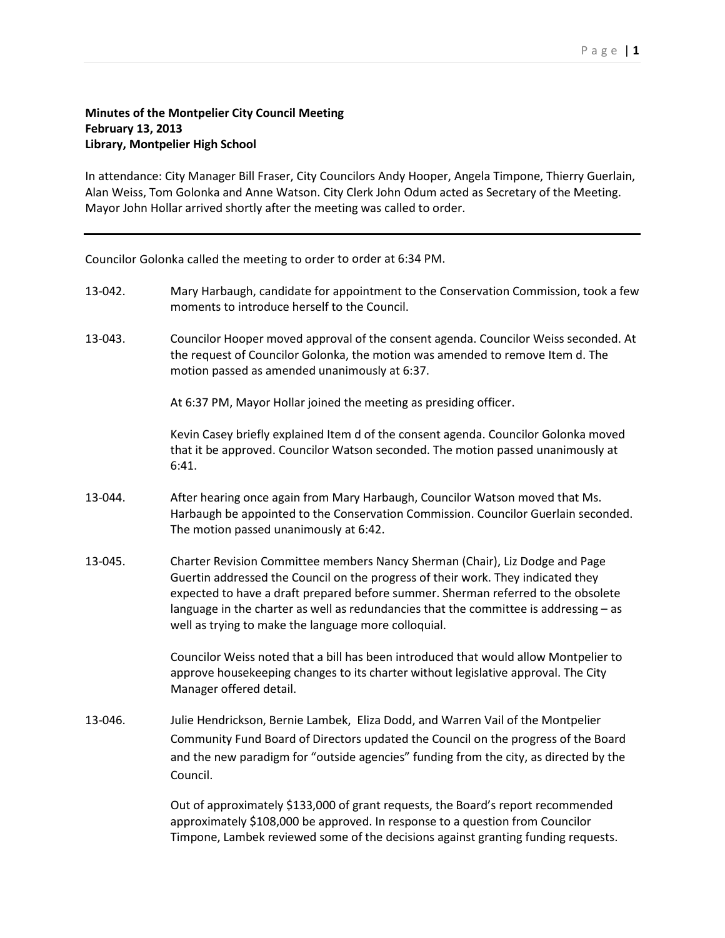## **Minutes of the Montpelier City Council Meeting February 13, 2013 Library, Montpelier High School**

In attendance: City Manager Bill Fraser, City Councilors Andy Hooper, Angela Timpone, Thierry Guerlain, Alan Weiss, Tom Golonka and Anne Watson. City Clerk John Odum acted as Secretary of the Meeting. Mayor John Hollar arrived shortly after the meeting was called to order.

Councilor Golonka called the meeting to order to order at 6:34 PM.

- 13-042. Mary Harbaugh, candidate for appointment to the Conservation Commission, took a few moments to introduce herself to the Council.
- 13-043. Councilor Hooper moved approval of the consent agenda. Councilor Weiss seconded. At the request of Councilor Golonka, the motion was amended to remove Item d. The motion passed as amended unanimously at 6:37.

At 6:37 PM, Mayor Hollar joined the meeting as presiding officer.

Kevin Casey briefly explained Item d of the consent agenda. Councilor Golonka moved that it be approved. Councilor Watson seconded. The motion passed unanimously at 6:41.

- 13-044. After hearing once again from Mary Harbaugh, Councilor Watson moved that Ms. Harbaugh be appointed to the Conservation Commission. Councilor Guerlain seconded. The motion passed unanimously at 6:42.
- 13-045. Charter Revision Committee members Nancy Sherman (Chair), Liz Dodge and Page Guertin addressed the Council on the progress of their work. They indicated they expected to have a draft prepared before summer. Sherman referred to the obsolete language in the charter as well as redundancies that the committee is addressing – as well as trying to make the language more colloquial.

Councilor Weiss noted that a bill has been introduced that would allow Montpelier to approve housekeeping changes to its charter without legislative approval. The City Manager offered detail.

13-046. Julie Hendrickson, Bernie Lambek, Eliza Dodd, and Warren Vail of the Montpelier Community Fund Board of Directors updated the Council on the progress of the Board and the new paradigm for "outside agencies" funding from the city, as directed by the Council.

> Out of approximately \$133,000 of grant requests, the Board's report recommended approximately \$108,000 be approved. In response to a question from Councilor Timpone, Lambek reviewed some of the decisions against granting funding requests.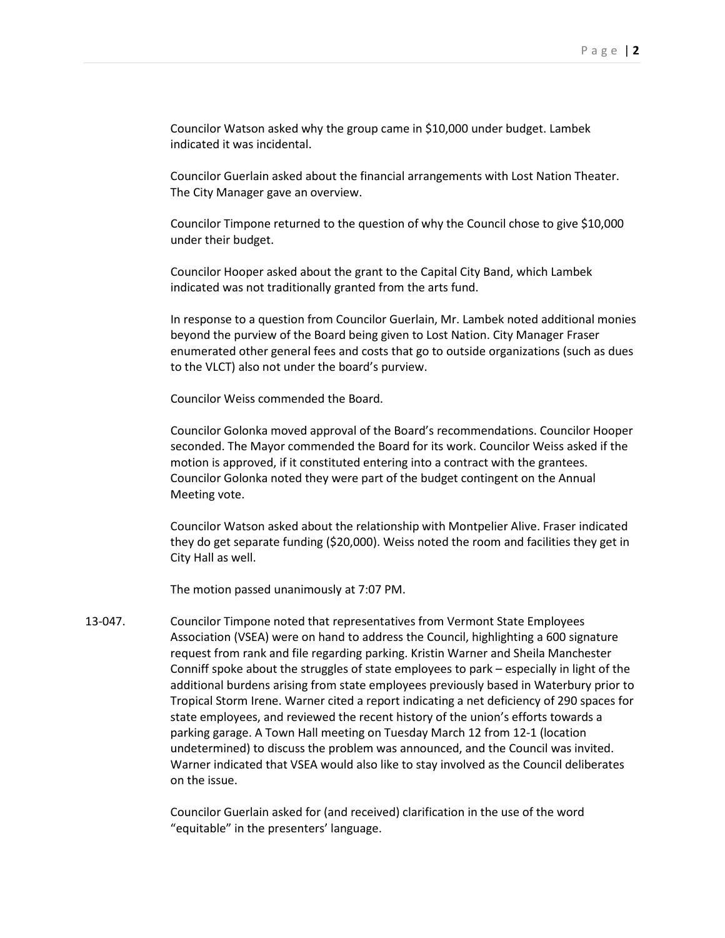Councilor Watson asked why the group came in \$10,000 under budget. Lambek indicated it was incidental.

Councilor Guerlain asked about the financial arrangements with Lost Nation Theater. The City Manager gave an overview.

Councilor Timpone returned to the question of why the Council chose to give \$10,000 under their budget.

Councilor Hooper asked about the grant to the Capital City Band, which Lambek indicated was not traditionally granted from the arts fund.

In response to a question from Councilor Guerlain, Mr. Lambek noted additional monies beyond the purview of the Board being given to Lost Nation. City Manager Fraser enumerated other general fees and costs that go to outside organizations (such as dues to the VLCT) also not under the board's purview.

Councilor Weiss commended the Board.

Councilor Golonka moved approval of the Board's recommendations. Councilor Hooper seconded. The Mayor commended the Board for its work. Councilor Weiss asked if the motion is approved, if it constituted entering into a contract with the grantees. Councilor Golonka noted they were part of the budget contingent on the Annual Meeting vote.

Councilor Watson asked about the relationship with Montpelier Alive. Fraser indicated they do get separate funding (\$20,000). Weiss noted the room and facilities they get in City Hall as well.

The motion passed unanimously at 7:07 PM.

13-047. Councilor Timpone noted that representatives from Vermont State Employees Association (VSEA) were on hand to address the Council, highlighting a 600 signature request from rank and file regarding parking. Kristin Warner and Sheila Manchester Conniff spoke about the struggles of state employees to park – especially in light of the additional burdens arising from state employees previously based in Waterbury prior to Tropical Storm Irene. Warner cited a report indicating a net deficiency of 290 spaces for state employees, and reviewed the recent history of the union's efforts towards a parking garage. A Town Hall meeting on Tuesday March 12 from 12-1 (location undetermined) to discuss the problem was announced, and the Council was invited. Warner indicated that VSEA would also like to stay involved as the Council deliberates on the issue.

> Councilor Guerlain asked for (and received) clarification in the use of the word "equitable" in the presenters' language.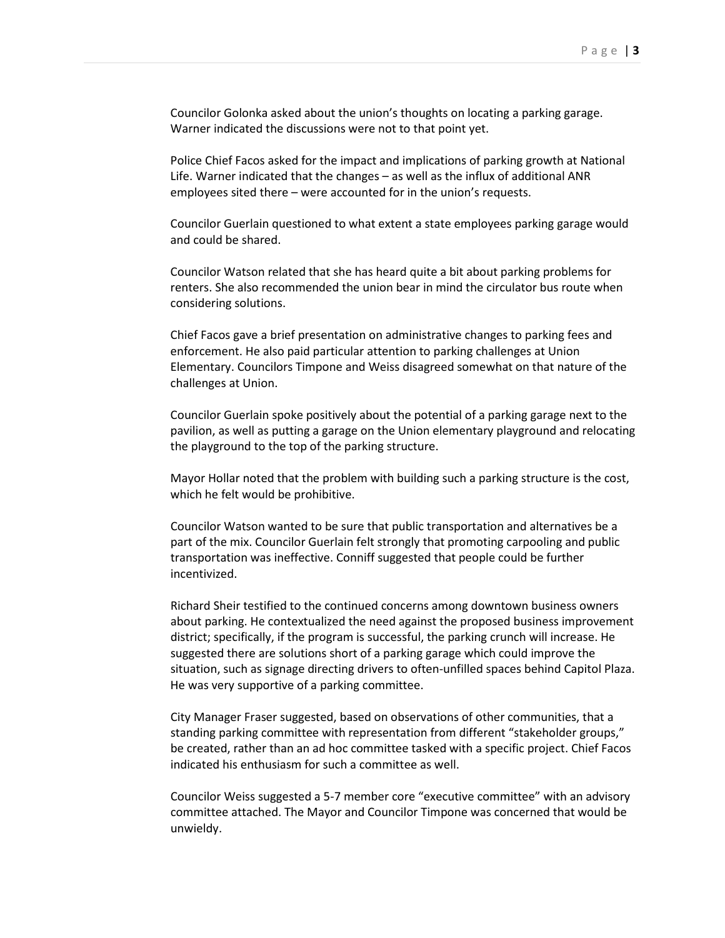Councilor Golonka asked about the union's thoughts on locating a parking garage. Warner indicated the discussions were not to that point yet.

Police Chief Facos asked for the impact and implications of parking growth at National Life. Warner indicated that the changes – as well as the influx of additional ANR employees sited there – were accounted for in the union's requests.

Councilor Guerlain questioned to what extent a state employees parking garage would and could be shared.

Councilor Watson related that she has heard quite a bit about parking problems for renters. She also recommended the union bear in mind the circulator bus route when considering solutions.

Chief Facos gave a brief presentation on administrative changes to parking fees and enforcement. He also paid particular attention to parking challenges at Union Elementary. Councilors Timpone and Weiss disagreed somewhat on that nature of the challenges at Union.

Councilor Guerlain spoke positively about the potential of a parking garage next to the pavilion, as well as putting a garage on the Union elementary playground and relocating the playground to the top of the parking structure.

Mayor Hollar noted that the problem with building such a parking structure is the cost, which he felt would be prohibitive.

Councilor Watson wanted to be sure that public transportation and alternatives be a part of the mix. Councilor Guerlain felt strongly that promoting carpooling and public transportation was ineffective. Conniff suggested that people could be further incentivized.

Richard Sheir testified to the continued concerns among downtown business owners about parking. He contextualized the need against the proposed business improvement district; specifically, if the program is successful, the parking crunch will increase. He suggested there are solutions short of a parking garage which could improve the situation, such as signage directing drivers to often-unfilled spaces behind Capitol Plaza. He was very supportive of a parking committee.

City Manager Fraser suggested, based on observations of other communities, that a standing parking committee with representation from different "stakeholder groups," be created, rather than an ad hoc committee tasked with a specific project. Chief Facos indicated his enthusiasm for such a committee as well.

Councilor Weiss suggested a 5-7 member core "executive committee" with an advisory committee attached. The Mayor and Councilor Timpone was concerned that would be unwieldy.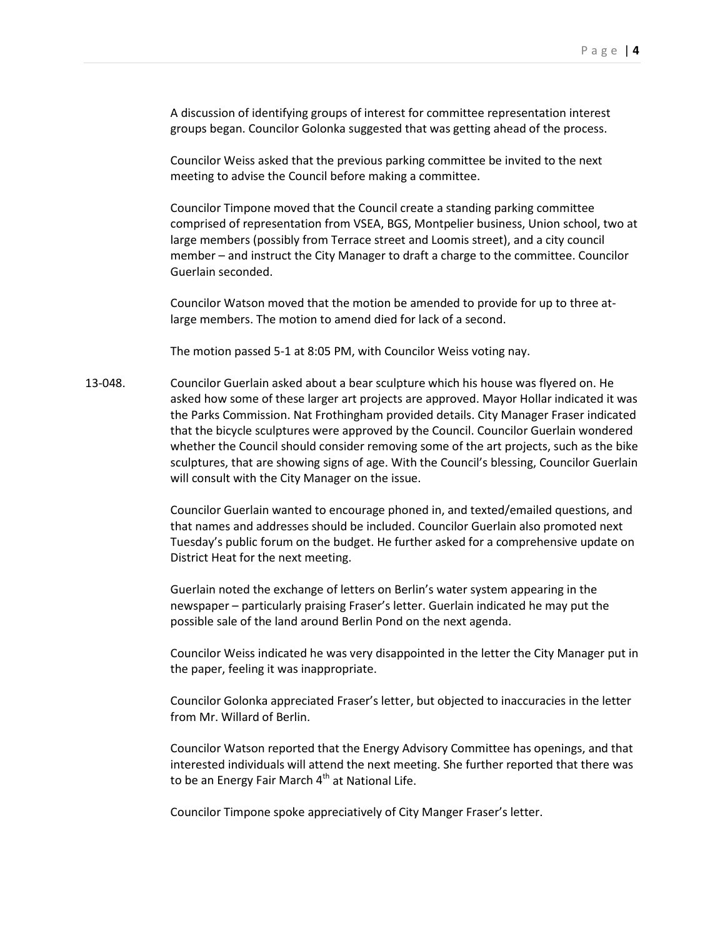A discussion of identifying groups of interest for committee representation interest groups began. Councilor Golonka suggested that was getting ahead of the process.

Councilor Weiss asked that the previous parking committee be invited to the next meeting to advise the Council before making a committee.

Councilor Timpone moved that the Council create a standing parking committee comprised of representation from VSEA, BGS, Montpelier business, Union school, two at large members (possibly from Terrace street and Loomis street), and a city council member – and instruct the City Manager to draft a charge to the committee. Councilor Guerlain seconded.

Councilor Watson moved that the motion be amended to provide for up to three atlarge members. The motion to amend died for lack of a second.

The motion passed 5-1 at 8:05 PM, with Councilor Weiss voting nay.

13-048. Councilor Guerlain asked about a bear sculpture which his house was flyered on. He asked how some of these larger art projects are approved. Mayor Hollar indicated it was the Parks Commission. Nat Frothingham provided details. City Manager Fraser indicated that the bicycle sculptures were approved by the Council. Councilor Guerlain wondered whether the Council should consider removing some of the art projects, such as the bike sculptures, that are showing signs of age. With the Council's blessing, Councilor Guerlain will consult with the City Manager on the issue.

> Councilor Guerlain wanted to encourage phoned in, and texted/emailed questions, and that names and addresses should be included. Councilor Guerlain also promoted next Tuesday's public forum on the budget. He further asked for a comprehensive update on District Heat for the next meeting.

Guerlain noted the exchange of letters on Berlin's water system appearing in the newspaper – particularly praising Fraser's letter. Guerlain indicated he may put the possible sale of the land around Berlin Pond on the next agenda.

Councilor Weiss indicated he was very disappointed in the letter the City Manager put in the paper, feeling it was inappropriate.

Councilor Golonka appreciated Fraser's letter, but objected to inaccuracies in the letter from Mr. Willard of Berlin.

Councilor Watson reported that the Energy Advisory Committee has openings, and that interested individuals will attend the next meeting. She further reported that there was to be an Energy Fair March  $4<sup>th</sup>$  at National Life.

Councilor Timpone spoke appreciatively of City Manger Fraser's letter.